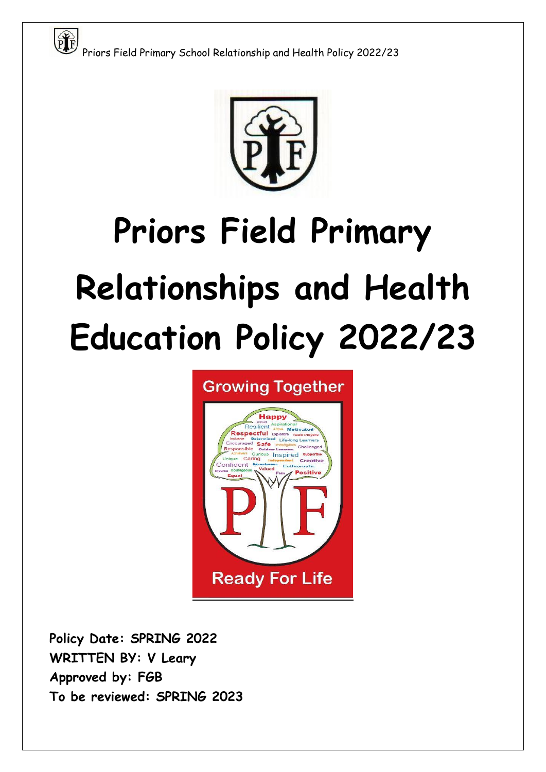PF



# **Priors Field Primary Relationships and Health Education Policy 2022/23**



**Policy Date: SPRING 2022 WRITTEN BY: V Leary Approved by: FGB To be reviewed: SPRING 2023**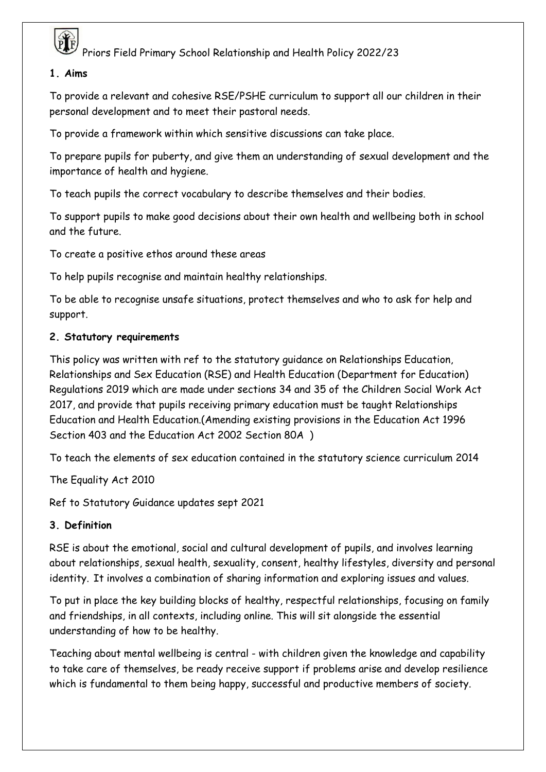

#### **1. Aims**

To provide a relevant and cohesive RSE/PSHE curriculum to support all our children in their personal development and to meet their pastoral needs.

To provide a framework within which sensitive discussions can take place.

To prepare pupils for puberty, and give them an understanding of sexual development and the importance of health and hygiene.

To teach pupils the correct vocabulary to describe themselves and their bodies.

To support pupils to make good decisions about their own health and wellbeing both in school and the future.

To create a positive ethos around these areas

To help pupils recognise and maintain healthy relationships.

To be able to recognise unsafe situations, protect themselves and who to ask for help and support.

#### **2. Statutory requirements**

This policy was written with ref to the statutory guidance on Relationships Education, Relationships and Sex Education (RSE) and Health Education (Department for Education) Regulations 2019 which are made under sections 34 and 35 of the Children Social Work Act 2017, and provide that pupils receiving primary education must be taught Relationships Education and Health Education.(Amending existing provisions in the Education Act 1996 Section 403 and the Education Act 2002 Section 80A )

To teach the elements of sex education contained in the statutory science curriculum 2014

The Equality Act 2010

Ref to Statutory Guidance updates sept 2021

#### **3. Definition**

RSE is about the emotional, social and cultural development of pupils, and involves learning about relationships, sexual health, sexuality, consent, healthy lifestyles, diversity and personal identity. It involves a combination of sharing information and exploring issues and values.

To put in place the key building blocks of healthy, respectful relationships, focusing on family and friendships, in all contexts, including online. This will sit alongside the essential understanding of how to be healthy.

Teaching about mental wellbeing is central - with children given the knowledge and capability to take care of themselves, be ready receive support if problems arise and develop resilience which is fundamental to them being happy, successful and productive members of society.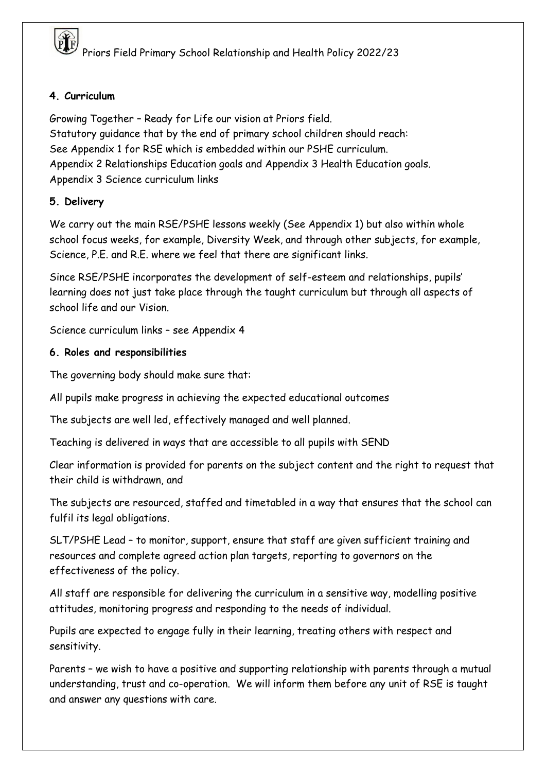

#### **4. Curriculum**

Growing Together – Ready for Life our vision at Priors field. Statutory guidance that by the end of primary school children should reach: See Appendix 1 for RSE which is embedded within our PSHE curriculum. Appendix 2 Relationships Education goals and Appendix 3 Health Education goals. Appendix 3 Science curriculum links

#### **5. Delivery**

We carry out the main RSE/PSHE lessons weekly (See Appendix 1) but also within whole school focus weeks, for example, Diversity Week, and through other subjects, for example, Science, P.E. and R.E. where we feel that there are significant links.

Since RSE/PSHE incorporates the development of self-esteem and relationships, pupils' learning does not just take place through the taught curriculum but through all aspects of school life and our Vision.

Science curriculum links – see Appendix 4

#### **6. Roles and responsibilities**

The governing body should make sure that:

All pupils make progress in achieving the expected educational outcomes

The subjects are well led, effectively managed and well planned.

Teaching is delivered in ways that are accessible to all pupils with SEND

Clear information is provided for parents on the subject content and the right to request that their child is withdrawn, and

The subjects are resourced, staffed and timetabled in a way that ensures that the school can fulfil its legal obligations.

SLT/PSHE Lead – to monitor, support, ensure that staff are given sufficient training and resources and complete agreed action plan targets, reporting to governors on the effectiveness of the policy.

All staff are responsible for delivering the curriculum in a sensitive way, modelling positive attitudes, monitoring progress and responding to the needs of individual.

Pupils are expected to engage fully in their learning, treating others with respect and sensitivity.

Parents – we wish to have a positive and supporting relationship with parents through a mutual understanding, trust and co-operation. We will inform them before any unit of RSE is taught and answer any questions with care.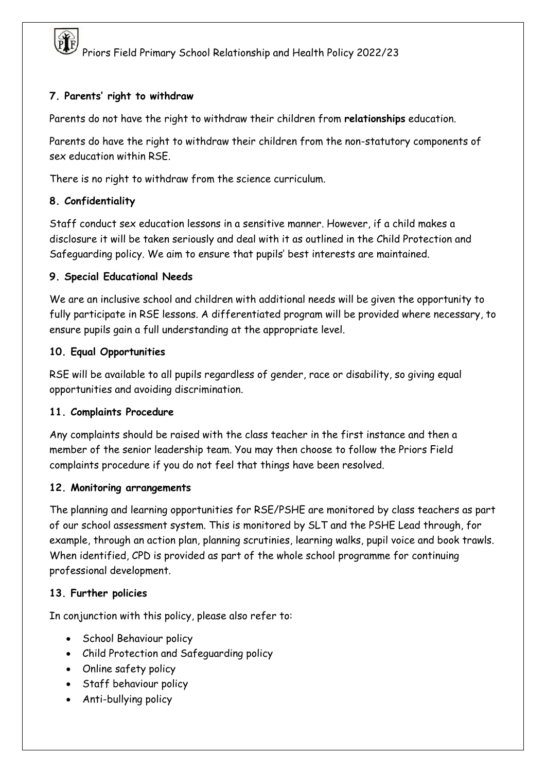

#### **7. Parents' right to withdraw**

Parents do not have the right to withdraw their children from **relationships** education.

Parents do have the right to withdraw their children from the non-statutory components of sex education within RSE.

There is no right to withdraw from the science curriculum.

#### **8. Confidentiality**

Staff conduct sex education lessons in a sensitive manner. However, if a child makes a disclosure it will be taken seriously and deal with it as outlined in the Child Protection and Safeguarding policy. We aim to ensure that pupils' best interests are maintained.

#### **9. Special Educational Needs**

We are an inclusive school and children with additional needs will be given the opportunity to fully participate in RSE lessons. A differentiated program will be provided where necessary, to ensure pupils gain a full understanding at the appropriate level.

#### **10. Equal Opportunities**

RSE will be available to all pupils regardless of gender, race or disability, so giving equal opportunities and avoiding discrimination.

#### **11. Complaints Procedure**

Any complaints should be raised with the class teacher in the first instance and then a member of the senior leadership team. You may then choose to follow the Priors Field complaints procedure if you do not feel that things have been resolved.

#### **12. Monitoring arrangements**

The planning and learning opportunities for RSE/PSHE are monitored by class teachers as part of our school assessment system. This is monitored by SLT and the PSHE Lead through, for example, through an action plan, planning scrutinies, learning walks, pupil voice and book trawls. When identified, CPD is provided as part of the whole school programme for continuing professional development.

#### **13. Further policies**

In conjunction with this policy, please also refer to:

- School Behaviour policy
- Child Protection and Safeguarding policy
- Online safety policy
- Staff behaviour policy
- Anti-bullying policy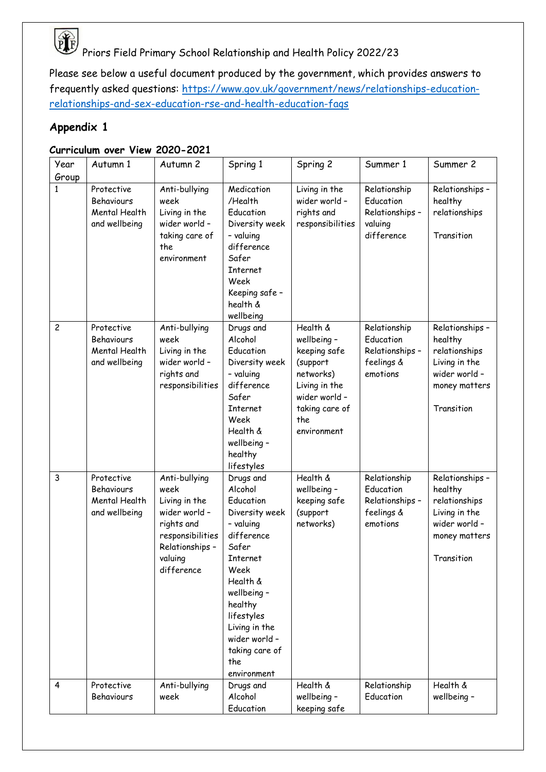

Please see below a useful document produced by the government, which provides answers to frequently asked questions: [https://www.gov.uk/government/news/relationships-education](https://www.gov.uk/government/news/relationships-education-relationships-and-sex-education-rse-and-health-education-faqs)[relationships-and-sex-education-rse-and-health-education-faqs](https://www.gov.uk/government/news/relationships-education-relationships-and-sex-education-rse-and-health-education-faqs) 

### **Appendix 1**

#### **Curriculum over View 2020-2021**

| Year           | Autumn 1                                                   | Autumn <sub>2</sub>                                                                                                                   | Spring 1                                                                                                                                                                                                                                         | Spring 2                                                                                                                                   | Summer 1                                                               | Summer 2                                                                                                     |
|----------------|------------------------------------------------------------|---------------------------------------------------------------------------------------------------------------------------------------|--------------------------------------------------------------------------------------------------------------------------------------------------------------------------------------------------------------------------------------------------|--------------------------------------------------------------------------------------------------------------------------------------------|------------------------------------------------------------------------|--------------------------------------------------------------------------------------------------------------|
| Group          |                                                            |                                                                                                                                       |                                                                                                                                                                                                                                                  |                                                                                                                                            |                                                                        |                                                                                                              |
| 1              | Protective<br>Behaviours<br>Mental Health<br>and wellbeing | Anti-bullying<br>week<br>Living in the<br>wider world -<br>taking care of<br>the<br>environment                                       | Medication<br>/Health<br>Education<br>Diversity week<br>- valuing<br>difference<br>Safer<br><b>Internet</b><br>Week<br>Keeping safe -<br>health &<br>wellbeing                                                                                   | Living in the<br>wider world -<br>rights and<br>responsibilities                                                                           | Relationship<br>Education<br>Relationships -<br>valuing<br>difference  | Relationships -<br>healthy<br>relationships<br>Transition                                                    |
| 2              | Protective<br>Behaviours<br>Mental Health<br>and wellbeing | Anti-bullying<br>week<br>Living in the<br>wider world -<br>rights and<br>responsibilities                                             | Drugs and<br>Alcohol<br>Education<br>Diversity week<br>- valuing<br>difference<br>Safer<br>Internet<br>Week<br>Health &<br>wellbeing -<br>healthy<br>lifestyles                                                                                  | Health &<br>wellbeing -<br>keeping safe<br>(support<br>networks)<br>Living in the<br>wider world -<br>taking care of<br>the<br>environment | Relationship<br>Education<br>Relationships -<br>feelings &<br>emotions | Relationships -<br>healthy<br>relationships<br>Living in the<br>wider world -<br>money matters<br>Transition |
| 3              | Protective<br>Behaviours<br>Mental Health<br>and wellbeing | Anti-bullying<br>week<br>Living in the<br>wider world -<br>rights and<br>responsibilities<br>Relationships -<br>valuing<br>difference | Drugs and<br>Alcohol<br>Education<br>Diversity week<br>- valuing<br>difference<br>Safer<br><b>Internet</b><br>Week<br>Health &<br>wellbeing -<br>healthy<br>lifestyles<br>Living in the<br>wider world -<br>taking care of<br>the<br>environment | Health &<br>wellbeing -<br>keeping safe<br>(support<br>networks)                                                                           | Relationship<br>Education<br>Relationships -<br>feelings &<br>emotions | Relationships -<br>healthy<br>relationships<br>Living in the<br>wider world -<br>money matters<br>Transition |
| $\overline{4}$ | Protective<br>Behaviours                                   | Anti-bullying<br>week                                                                                                                 | Drugs and<br>Alcohol<br>Education                                                                                                                                                                                                                | Health &<br>wellbeing -<br>keeping safe                                                                                                    | Relationship<br>Education                                              | Health &<br>wellbeing -                                                                                      |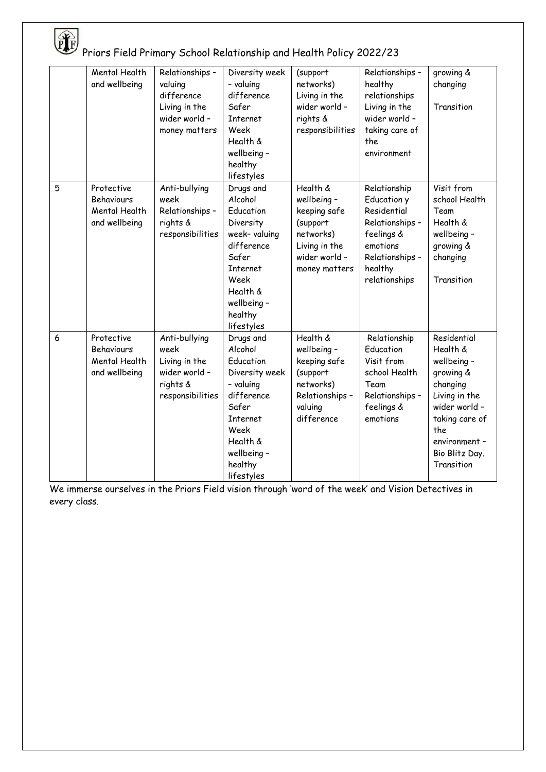|   | Mental Health<br>and wellbeing                                    | Relationships -<br>valuing<br>difference<br>Living in the<br>wider world -<br>money matters | Diversity week<br>- valuing<br>difference<br>Safer<br><b>Internet</b><br>Week<br>Health &<br>wellbeing -<br>healthy<br>lifestyles                                     | (support<br>networks)<br>Living in the<br>wider world -<br>rights &<br>responsibilities                             | Relationships -<br>healthy<br>relationships<br>Living in the<br>wider world -<br>taking care of<br>the<br>environment                         | growing &<br>changing<br>Transition                                                                                                                                         |
|---|-------------------------------------------------------------------|---------------------------------------------------------------------------------------------|-----------------------------------------------------------------------------------------------------------------------------------------------------------------------|---------------------------------------------------------------------------------------------------------------------|-----------------------------------------------------------------------------------------------------------------------------------------------|-----------------------------------------------------------------------------------------------------------------------------------------------------------------------------|
| 5 | Protective<br><b>Behaviours</b><br>Mental Health<br>and wellbeing | Anti-bullying<br>week<br>Relationships -<br>rights &<br>responsibilities                    | Drugs and<br>Alcohol<br>Education<br>Diversity<br>week- valuing<br>difference<br>Safer<br><b>Internet</b><br>Week<br>Health &<br>wellbeing -<br>healthy<br>lifestyles | Health &<br>wellbeing -<br>keeping safe<br>(support<br>networks)<br>Living in the<br>wider world -<br>money matters | Relationship<br><b>Education y</b><br>Residential<br>Relationships -<br>feelings &<br>emotions<br>Relationships -<br>healthy<br>relationships | Visit from<br>school Health<br>Team<br>Health &<br>wellbeing -<br>growing &<br>changing<br>Transition                                                                       |
| 6 | Protective<br>Behaviours<br>Mental Health<br>and wellbeing        | Anti-bullying<br>week<br>Living in the<br>wider world -<br>rights &<br>responsibilities     | Drugs and<br>Alcohol<br>Education<br>Diversity week<br>- valuing<br>difference<br>Safer<br>Internet<br>Week<br>Health &<br>wellbeing -<br>healthy<br>lifestyles       | Health &<br>wellbeing -<br>keeping safe<br>(support<br>networks)<br>Relationships -<br>valuing<br>difference        | Relationship<br>Education<br>Visit from<br>school Health<br>Team<br>Relationships -<br>feelings &<br>emotions                                 | Residential<br>Health &<br>wellbeing -<br>growing &<br>changing<br>Living in the<br>wider world -<br>taking care of<br>the<br>environment -<br>Bio Blitz Day.<br>Transition |

We immerse ourselves in the Priors Field vision through 'word of the week' and Vision Detectives in every class.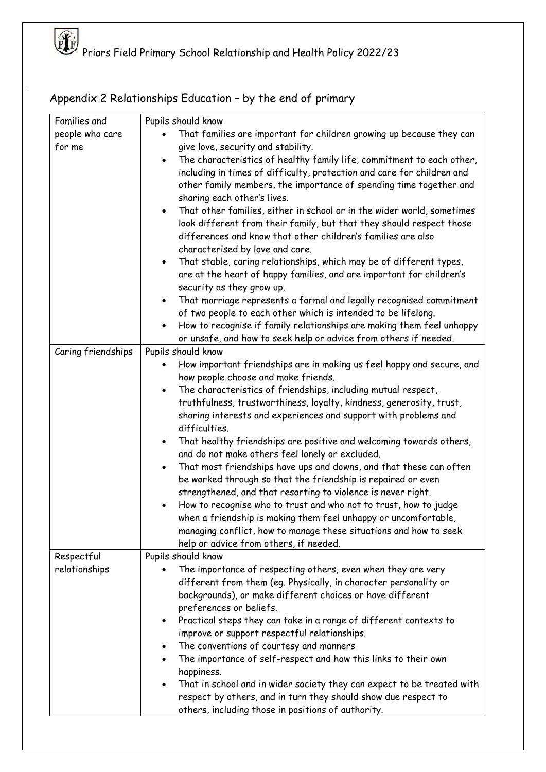# Appendix 2 Relationships Education – by the end of primary

| Families and       | Pupils should know                                                                                          |
|--------------------|-------------------------------------------------------------------------------------------------------------|
| people who care    | That families are important for children growing up because they can                                        |
| for me             | give love, security and stability.                                                                          |
|                    | The characteristics of healthy family life, commitment to each other,<br>$\bullet$                          |
|                    | including in times of difficulty, protection and care for children and                                      |
|                    | other family members, the importance of spending time together and                                          |
|                    | sharing each other's lives.                                                                                 |
|                    | That other families, either in school or in the wider world, sometimes<br>$\bullet$                         |
|                    | look different from their family, but that they should respect those                                        |
|                    | differences and know that other children's families are also                                                |
|                    | characterised by love and care.                                                                             |
|                    | That stable, caring relationships, which may be of different types,<br>$\bullet$                            |
|                    | are at the heart of happy families, and are important for children's                                        |
|                    | security as they grow up.<br>That marriage represents a formal and legally recognised commitment            |
|                    | of two people to each other which is intended to be lifelong.                                               |
|                    | How to recognise if family relationships are making them feel unhappy                                       |
|                    | or unsafe, and how to seek help or advice from others if needed.                                            |
| Caring friendships | Pupils should know                                                                                          |
|                    | How important friendships are in making us feel happy and secure, and                                       |
|                    | how people choose and make friends.                                                                         |
|                    | The characteristics of friendships, including mutual respect,<br>$\bullet$                                  |
|                    | truthfulness, trustworthiness, loyalty, kindness, generosity, trust,                                        |
|                    | sharing interests and experiences and support with problems and                                             |
|                    | difficulties.                                                                                               |
|                    | That healthy friendships are positive and welcoming towards others,                                         |
|                    | and do not make others feel lonely or excluded.                                                             |
|                    | That most friendships have ups and downs, and that these can often<br>$\bullet$                             |
|                    | be worked through so that the friendship is repaired or even                                                |
|                    | strengthened, and that resorting to violence is never right.                                                |
|                    | How to recognise who to trust and who not to trust, how to judge                                            |
|                    | when a friendship is making them feel unhappy or uncomfortable,                                             |
|                    | managing conflict, how to manage these situations and how to seek<br>help or advice from others, if needed. |
| Respectful         | Pupils should know                                                                                          |
| relationships      | The importance of respecting others, even when they are very                                                |
|                    | different from them (eg. Physically, in character personality or                                            |
|                    | backgrounds), or make different choices or have different                                                   |
|                    | preferences or beliefs.                                                                                     |
|                    | Practical steps they can take in a range of different contexts to<br>$\bullet$                              |
|                    | improve or support respectful relationships.                                                                |
|                    | The conventions of courtesy and manners                                                                     |
|                    | The importance of self-respect and how this links to their own                                              |
|                    | happiness.                                                                                                  |
|                    | That in school and in wider society they can expect to be treated with                                      |
|                    | respect by others, and in turn they should show due respect to                                              |
|                    | others, including those in positions of authority.                                                          |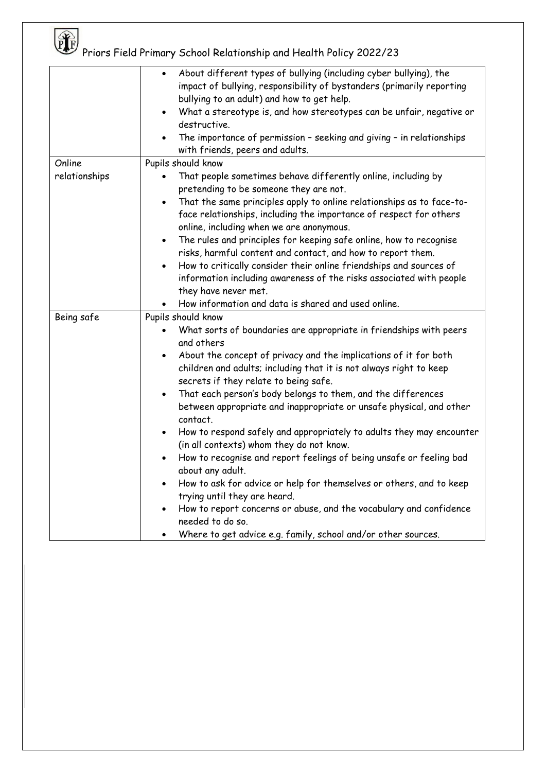|               | About different types of bullying (including cyber bullying), the<br>$\bullet$<br>impact of bullying, responsibility of bystanders (primarily reporting<br>bullying to an adult) and how to get help.<br>What a stereotype is, and how stereotypes can be unfair, negative or<br>destructive.<br>The importance of permission - seeking and giving - in relationships<br>with friends, peers and adults.                                                                                                                                                                                                                                                                                                                                                                                                                                                                               |  |  |  |
|---------------|----------------------------------------------------------------------------------------------------------------------------------------------------------------------------------------------------------------------------------------------------------------------------------------------------------------------------------------------------------------------------------------------------------------------------------------------------------------------------------------------------------------------------------------------------------------------------------------------------------------------------------------------------------------------------------------------------------------------------------------------------------------------------------------------------------------------------------------------------------------------------------------|--|--|--|
| Online        | Pupils should know                                                                                                                                                                                                                                                                                                                                                                                                                                                                                                                                                                                                                                                                                                                                                                                                                                                                     |  |  |  |
| relationships | That people sometimes behave differently online, including by<br>pretending to be someone they are not.<br>That the same principles apply to online relationships as to face-to-<br>$\bullet$<br>face relationships, including the importance of respect for others<br>online, including when we are anonymous.<br>The rules and principles for keeping safe online, how to recognise<br>$\bullet$<br>risks, harmful content and contact, and how to report them.<br>How to critically consider their online friendships and sources of<br>information including awareness of the risks associated with people<br>they have never met.                                                                                                                                                                                                                                                 |  |  |  |
|               | How information and data is shared and used online.                                                                                                                                                                                                                                                                                                                                                                                                                                                                                                                                                                                                                                                                                                                                                                                                                                    |  |  |  |
| Being safe    | Pupils should know<br>What sorts of boundaries are appropriate in friendships with peers<br>and others<br>About the concept of privacy and the implications of it for both<br>$\bullet$<br>children and adults; including that it is not always right to keep<br>secrets if they relate to being safe.<br>That each person's body belongs to them, and the differences<br>between appropriate and inappropriate or unsafe physical, and other<br>contact.<br>How to respond safely and appropriately to adults they may encounter<br>$\bullet$<br>(in all contexts) whom they do not know.<br>How to recognise and report feelings of being unsafe or feeling bad<br>about any adult.<br>How to ask for advice or help for themselves or others, and to keep<br>trying until they are heard.<br>How to report concerns or abuse, and the vocabulary and confidence<br>needed to do so. |  |  |  |
|               | Where to get advice e.g. family, school and/or other sources.                                                                                                                                                                                                                                                                                                                                                                                                                                                                                                                                                                                                                                                                                                                                                                                                                          |  |  |  |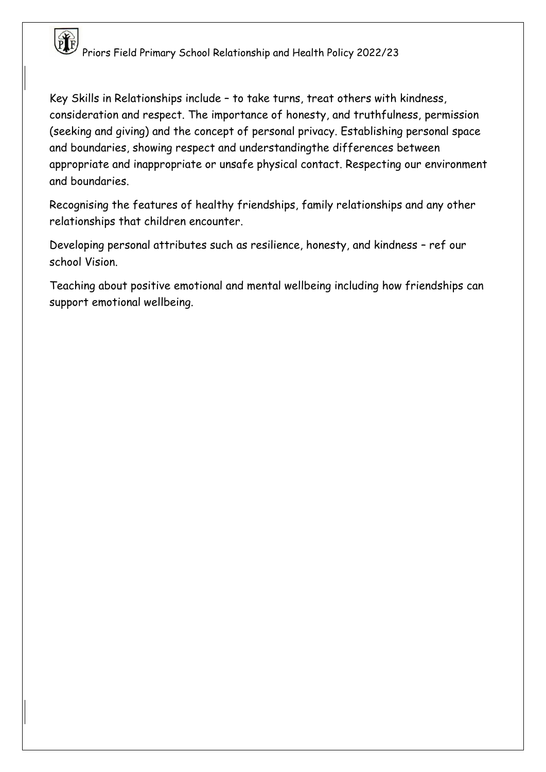

Key Skills in Relationships include – to take turns, treat others with kindness, consideration and respect. The importance of honesty, and truthfulness, permission (seeking and giving) and the concept of personal privacy. Establishing personal space and boundaries, showing respect and understandingthe differences between appropriate and inappropriate or unsafe physical contact. Respecting our environment and boundaries.

Recognising the features of healthy friendships, family relationships and any other relationships that children encounter.

Developing personal attributes such as resilience, honesty, and kindness – ref our school Vision.

Teaching about positive emotional and mental wellbeing including how friendships can support emotional wellbeing.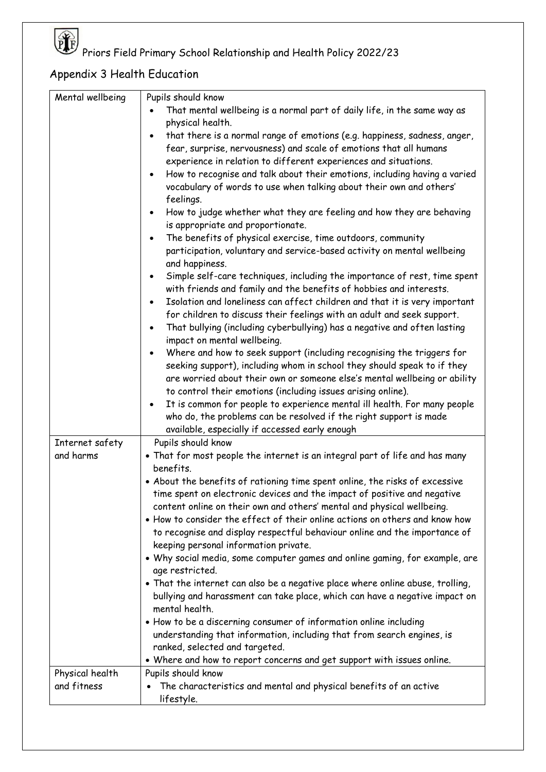

## Appendix 3 Health Education

| Mental wellbeing | Pupils should know                                                                                                                              |
|------------------|-------------------------------------------------------------------------------------------------------------------------------------------------|
|                  | That mental wellbeing is a normal part of daily life, in the same way as                                                                        |
|                  | physical health.                                                                                                                                |
|                  | that there is a normal range of emotions (e.g. happiness, sadness, anger,                                                                       |
|                  | fear, surprise, nervousness) and scale of emotions that all humans                                                                              |
|                  | experience in relation to different experiences and situations.                                                                                 |
|                  | How to recognise and talk about their emotions, including having a varied                                                                       |
|                  | vocabulary of words to use when talking about their own and others'                                                                             |
|                  | feelings.                                                                                                                                       |
|                  | How to judge whether what they are feeling and how they are behaving                                                                            |
|                  | is appropriate and proportionate.                                                                                                               |
|                  | The benefits of physical exercise, time outdoors, community                                                                                     |
|                  | participation, voluntary and service-based activity on mental wellbeing                                                                         |
|                  | and happiness.                                                                                                                                  |
|                  | Simple self-care techniques, including the importance of rest, time spent<br>with friends and family and the benefits of hobbies and interests. |
|                  | Isolation and loneliness can affect children and that it is very important                                                                      |
|                  | for children to discuss their feelings with an adult and seek support.                                                                          |
|                  | That bullying (including cyberbullying) has a negative and often lasting<br>$\bullet$                                                           |
|                  | impact on mental wellbeing.                                                                                                                     |
|                  | Where and how to seek support (including recognising the triggers for                                                                           |
|                  | seeking support), including whom in school they should speak to if they                                                                         |
|                  | are worried about their own or someone else's mental wellbeing or ability                                                                       |
|                  | to control their emotions (including issues arising online).                                                                                    |
|                  | It is common for people to experience mental ill health. For many people                                                                        |
|                  | who do, the problems can be resolved if the right support is made                                                                               |
|                  | available, especially if accessed early enough                                                                                                  |
| Internet safety  | Pupils should know                                                                                                                              |
| and harms        | • That for most people the internet is an integral part of life and has many<br>benefits.                                                       |
|                  | • About the benefits of rationing time spent online, the risks of excessive                                                                     |
|                  | time spent on electronic devices and the impact of positive and negative                                                                        |
|                  | content online on their own and others' mental and physical wellbeing.                                                                          |
|                  | . How to consider the effect of their online actions on others and know how                                                                     |
|                  | to recognise and display respectful behaviour online and the importance of                                                                      |
|                  | keeping personal information private.                                                                                                           |
|                  | . Why social media, some computer games and online gaming, for example, are<br>age restricted.                                                  |
|                  | . That the internet can also be a negative place where online abuse, trolling,                                                                  |
|                  | bullying and harassment can take place, which can have a negative impact on                                                                     |
|                  | mental health.                                                                                                                                  |
|                  | . How to be a discerning consumer of information online including                                                                               |
|                  | understanding that information, including that from search engines, is                                                                          |
|                  | ranked, selected and targeted.                                                                                                                  |
|                  | • Where and how to report concerns and get support with issues online.                                                                          |
| Physical health  | Pupils should know                                                                                                                              |
| and fitness      | The characteristics and mental and physical benefits of an active                                                                               |
|                  | lifestyle.                                                                                                                                      |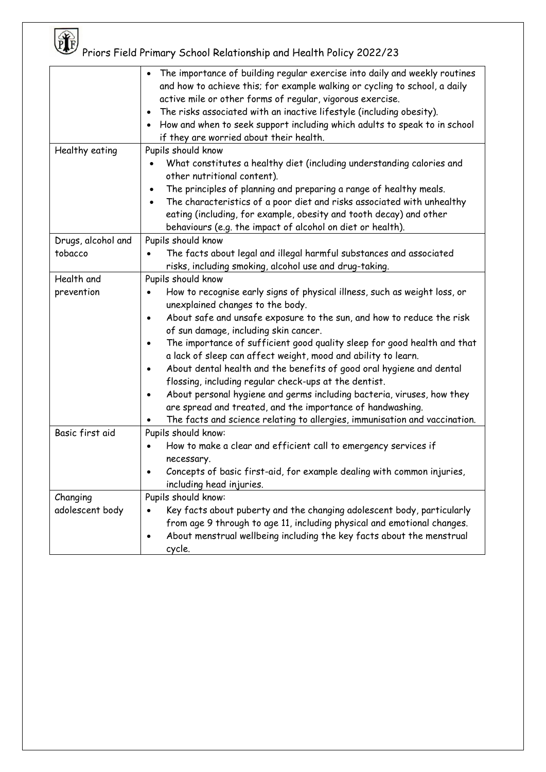

|                    | The importance of building regular exercise into daily and weekly routines<br>$\bullet$<br>and how to achieve this; for example walking or cycling to school, a daily<br>active mile or other forms of regular, vigorous exercise.<br>The risks associated with an inactive lifestyle (including obesity).<br>How and when to seek support including which adults to speak to in school<br>if they are worried about their health. |  |  |  |
|--------------------|------------------------------------------------------------------------------------------------------------------------------------------------------------------------------------------------------------------------------------------------------------------------------------------------------------------------------------------------------------------------------------------------------------------------------------|--|--|--|
| Healthy eating     | Pupils should know                                                                                                                                                                                                                                                                                                                                                                                                                 |  |  |  |
|                    | What constitutes a healthy diet (including understanding calories and<br>other nutritional content).<br>The principles of planning and preparing a range of healthy meals.<br>The characteristics of a poor diet and risks associated with unhealthy<br>eating (including, for example, obesity and tooth decay) and other<br>behaviours (e.g. the impact of alcohol on diet or health).                                           |  |  |  |
| Drugs, alcohol and | Pupils should know                                                                                                                                                                                                                                                                                                                                                                                                                 |  |  |  |
| tobacco            | The facts about legal and illegal harmful substances and associated<br>$\bullet$<br>risks, including smoking, alcohol use and drug-taking.                                                                                                                                                                                                                                                                                         |  |  |  |
| Health and         | Pupils should know                                                                                                                                                                                                                                                                                                                                                                                                                 |  |  |  |
| prevention         | How to recognise early signs of physical illness, such as weight loss, or<br>unexplained changes to the body.                                                                                                                                                                                                                                                                                                                      |  |  |  |
|                    | About safe and unsafe exposure to the sun, and how to reduce the risk<br>$\bullet$<br>of sun damage, including skin cancer.                                                                                                                                                                                                                                                                                                        |  |  |  |
|                    | The importance of sufficient good quality sleep for good health and that<br>a lack of sleep can affect weight, mood and ability to learn.                                                                                                                                                                                                                                                                                          |  |  |  |
|                    | About dental health and the benefits of good oral hygiene and dental<br>$\bullet$<br>flossing, including regular check-ups at the dentist.                                                                                                                                                                                                                                                                                         |  |  |  |
|                    | About personal hygiene and germs including bacteria, viruses, how they                                                                                                                                                                                                                                                                                                                                                             |  |  |  |
|                    | are spread and treated, and the importance of handwashing.                                                                                                                                                                                                                                                                                                                                                                         |  |  |  |
|                    | The facts and science relating to allergies, immunisation and vaccination.                                                                                                                                                                                                                                                                                                                                                         |  |  |  |
| Basic first aid    | Pupils should know:                                                                                                                                                                                                                                                                                                                                                                                                                |  |  |  |
|                    | How to make a clear and efficient call to emergency services if                                                                                                                                                                                                                                                                                                                                                                    |  |  |  |
|                    | necessary.                                                                                                                                                                                                                                                                                                                                                                                                                         |  |  |  |
|                    | Concepts of basic first-aid, for example dealing with common injuries,                                                                                                                                                                                                                                                                                                                                                             |  |  |  |
|                    | including head injuries.                                                                                                                                                                                                                                                                                                                                                                                                           |  |  |  |
| Changing           | Pupils should know:                                                                                                                                                                                                                                                                                                                                                                                                                |  |  |  |
| adolescent body    | Key facts about puberty and the changing adolescent body, particularly                                                                                                                                                                                                                                                                                                                                                             |  |  |  |
|                    | from age 9 through to age 11, including physical and emotional changes.                                                                                                                                                                                                                                                                                                                                                            |  |  |  |
|                    | About menstrual wellbeing including the key facts about the menstrual<br>cycle.                                                                                                                                                                                                                                                                                                                                                    |  |  |  |